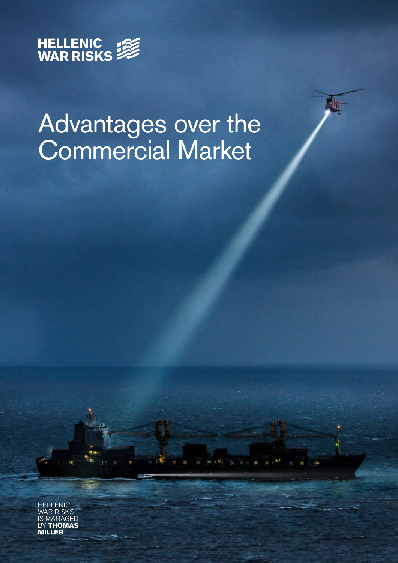

# Advantages over the Commercial Market

**HELLENIC AR RISKS MANAGED HOMAS** IER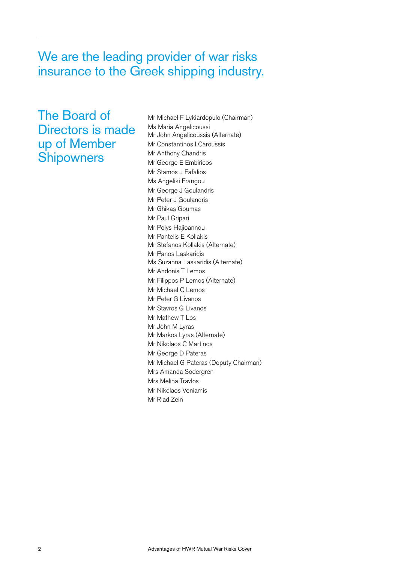# We are the leading provider of war risks insurance to the Greek shipping industry.

The Board of Directors is made up of Member **Shipowners** 

Mr Michael F Lykiardopulo (Chairman) Ms Maria Angelicoussi Mr John Angelicoussis (Alternate) Mr Constantinos I Caroussis Mr Anthony Chandris Mr George E Embiricos Mr Stamos J Fafalios Ms Angeliki Frangou Mr George J Goulandris Mr Peter J Goulandris Mr Ghikas Goumas Mr Paul Gripari Mr Polys Hajioannou Mr Pantelis E Kollakis Mr Stefanos Kollakis (Alternate) Mr Panos Laskaridis Ms Suzanna Laskaridis (Alternate) Mr Andonis T Lemos Mr Filippos P Lemos (Alternate) Mr Michael C Lemos Mr Peter G Livanos Mr Stavros G Livanos Mr Mathew T Los Mr John M Lyras Mr Markos Lyras (Alternate) Mr Nikolaos C Martinos Mr George D Pateras Mr Michael G Pateras (Deputy Chairman) Mrs Amanda Sodergren Mrs Melina Travlos Mr Nikolaos Veniamis Mr Riad Zein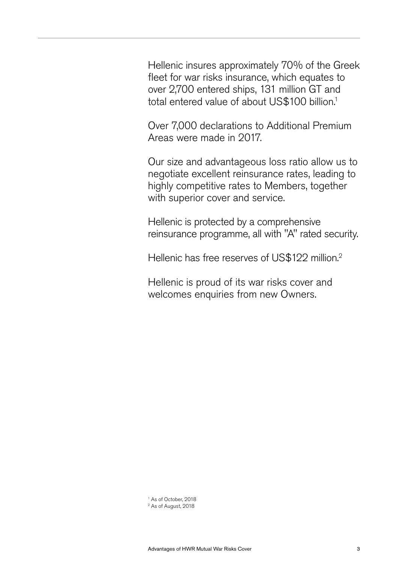Hellenic insures approximately 70% of the Greek fleet for war risks insurance, which equates to over 2,700 entered ships, 131 million GT and total entered value of about US\$100 billion.<sup>1</sup>

Over 7,000 declarations to Additional Premium Areas were made in 2017.

Our size and advantageous loss ratio allow us to negotiate excellent reinsurance rates, leading to highly competitive rates to Members, together with superior cover and service.

Hellenic is protected by a comprehensive reinsurance programme, all with "A" rated security.

Hellenic has free reserves of US\$122 million.<sup>2</sup>

Hellenic is proud of its war risks cover and welcomes enquiries from new Owners.

<sup>1</sup> As of October, 2018 2 As of August, 2018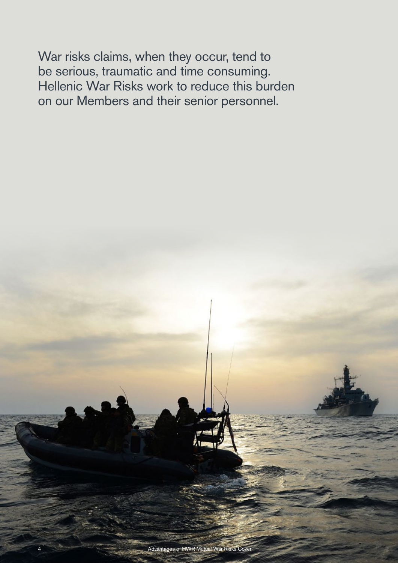War risks claims, when they occur, tend to be serious, traumatic and time consuming. Hellenic War Risks work to reduce this burden on our Members and their senior personnel.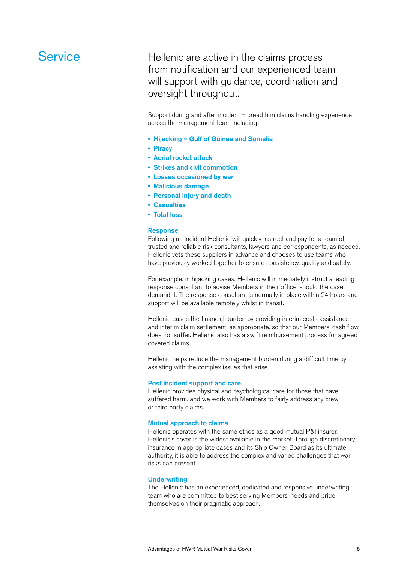# **Service**

Hellenic are active in the claims process from notification and our experienced team will support with guidance, coordination and oversight throughout.

Support during and after incident – breadth in claims handling experience across the management team including:

- Hijacking Gulf of Guinea and Somalia
- Piracy
- Aerial rocket attack
- Strikes and civil commotion
- Losses occasioned by war
- Malicious damage
- Personal injury and death
- Casualties
- Total loss

### Response

Following an incident Hellenic will quickly instruct and pay for a team of trusted and reliable risk consultants, lawyers and correspondents, as needed. Hellenic vets these suppliers in advance and chooses to use teams who have previously worked together to ensure consistency, quality and safety.

For example, in hijacking cases, Hellenic will immediately instruct a leading response consultant to advise Members in their office, should the case demand it. The response consultant is normally in place within 24 hours and support will be available remotely whilst in transit.

Hellenic eases the financial burden by providing interim costs assistance and interim claim settlement, as appropriate, so that our Members' cash flow does not suffer. Hellenic also has a swift reimbursement process for agreed covered claims.

Hellenic helps reduce the management burden during a difficult time by assisting with the complex issues that arise.

#### Post incident support and care

Hellenic provides physical and psychological care for those that have suffered harm, and we work with Members to fairly address any crew or third party claims.

#### Mutual approach to claims

Hellenic operates with the same ethos as a good mutual P&I insurer. Hellenic's cover is the widest available in the market. Through discretionary insurance in appropriate cases and its Ship Owner Board as its ultimate authority, it is able to address the complex and varied challenges that war risks can present.

### **Underwriting**

The Hellenic has an experienced, dedicated and responsive underwriting team who are committed to best serving Members' needs and pride themselves on their pragmatic approach.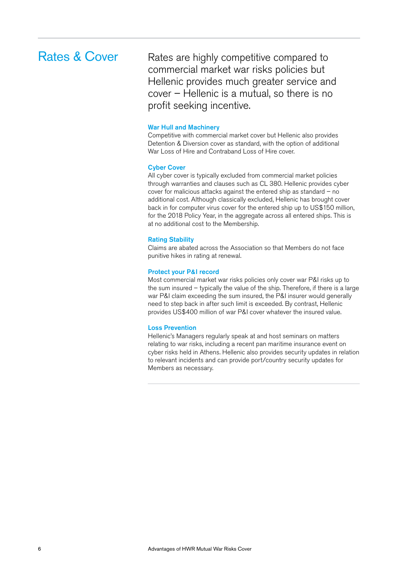### Rates & Cover

Rates are highly competitive compared to commercial market war risks policies but Hellenic provides much greater service and cover – Hellenic is a mutual, so there is no profit seeking incentive.

#### War Hull and Machinery

Competitive with commercial market cover but Hellenic also provides Detention & Diversion cover as standard, with the option of additional War Loss of Hire and Contraband Loss of Hire cover.

### Cyber Cover

All cyber cover is typically excluded from commercial market policies through warranties and clauses such as CL 380. Hellenic provides cyber cover for malicious attacks against the entered ship as standard – no additional cost. Although classically excluded, Hellenic has brought cover back in for computer virus cover for the entered ship up to US\$150 million, for the 2018 Policy Year, in the aggregate across all entered ships. This is at no additional cost to the Membership.

### Rating Stability

Claims are abated across the Association so that Members do not face punitive hikes in rating at renewal.

### Protect your P&I record

Most commercial market war risks policies only cover war P&I risks up to the sum insured – typically the value of the ship. Therefore, if there is a large war P&I claim exceeding the sum insured, the P&I insurer would generally need to step back in after such limit is exceeded. By contrast, Hellenic provides US\$400 million of war P&I cover whatever the insured value.

### Loss Prevention

Hellenic's Managers regularly speak at and host seminars on matters relating to war risks, including a recent pan maritime insurance event on cyber risks held in Athens. Hellenic also provides security updates in relation to relevant incidents and can provide port/country security updates for Members as necessary.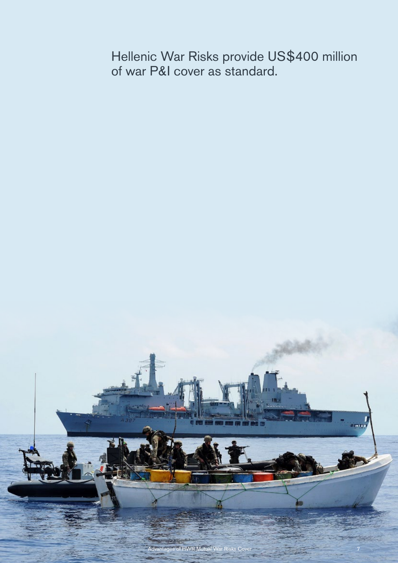Hellenic War Risks provide US\$400 million of war P&I cover as standard.

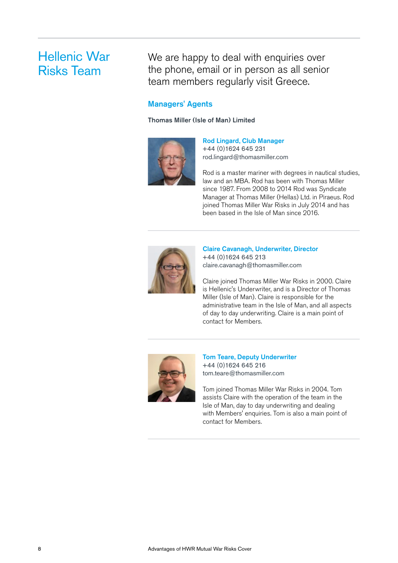# Hellenic War Risks Team

We are happy to deal with enquiries over the phone, email or in person as all senior team members regularly visit Greece.

### Managers' Agents

### Thomas Miller (Isle of Man) Limited



Rod Lingard, Club Manager +44 (0)1624 645 231 rod.lingard@thomasmiller.com

Rod is a master mariner with degrees in nautical studies, law and an MBA. Rod has been with Thomas Miller since 1987. From 2008 to 2014 Rod was Syndicate Manager at Thomas Miller (Hellas) Ltd. in Piraeus. Rod joined Thomas Miller War Risks in July 2014 and has been based in the Isle of Man since 2016.



Claire Cavanagh, Underwriter, Director +44 (0)1624 645 213 claire.cavanagh@thomasmiller.com

Claire joined Thomas Miller War Risks in 2000. Claire is Hellenic's Underwriter, and is a Director of Thomas Miller (Isle of Man). Claire is responsible for the administrative team in the Isle of Man, and all aspects of day to day underwriting. Claire is a main point of contact for Members.



### Tom Teare, Deputy Underwriter +44 (0)1624 645 216 tom.teare@thomasmiller.com

contact for Members.

Tom joined Thomas Miller War Risks in 2004. Tom assists Claire with the operation of the team in the Isle of Man, day to day underwriting and dealing with Members' enquiries. Tom is also a main point of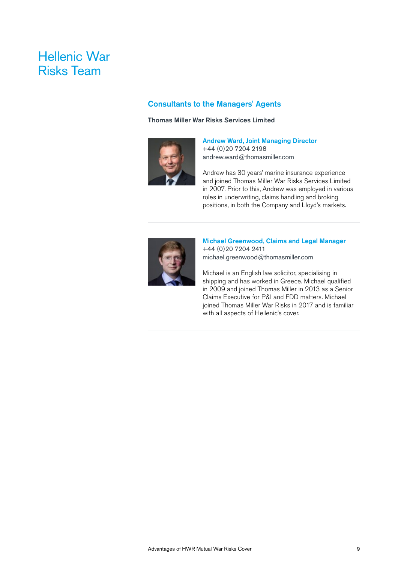# Hellenic War Risks Team

### Consultants to the Managers' Agents

Thomas Miller War Risks Services Limited



Andrew Ward, Joint Managing Director +44 (0)20 7204 2198 andrew.ward@thomasmiller.com

Andrew has 30 years' marine insurance experience and joined Thomas Miller War Risks Services Limited in 2007. Prior to this, Andrew was employed in various roles in underwriting, claims handling and broking positions, in both the Company and Lloyd's markets.



Michael Greenwood, Claims and Legal Manager +44 (0)20 7204 2411 michael.greenwood@thomasmiller.com

Michael is an English law solicitor, specialising in shipping and has worked in Greece. Michael qualified in 2009 and joined Thomas Miller in 2013 as a Senior Claims Executive for P&I and FDD matters. Michael joined Thomas Miller War Risks in 2017 and is familiar with all aspects of Hellenic's cover.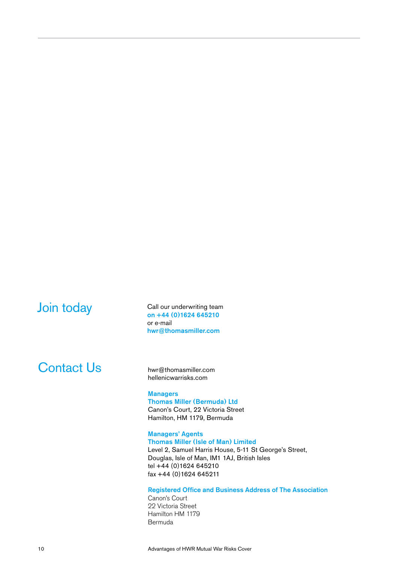### Join today

Call our underwriting team on +44 (0)1624 645210 or e-mail hwr@thomasmiller.com

# Contact Us

hwr@thomasmiller.com hellenicwarrisks.com

#### Managers

Thomas Miller (Bermuda) Ltd Canon's Court, 22 Victoria Street Hamilton, HM 1179, Bermuda

### Managers' Agents

Thomas Miller (Isle of Man) Limited Level 2, Samuel Harris House, 5-11 St George's Street, Douglas, Isle of Man, IM1 1AJ, British Isles tel +44 (0)1624 645210 fax +44 (0)1624 645211

### Registered Office and Business Address of The Association

Canon's Court 22 Victoria Street Hamilton HM 1179 Bermuda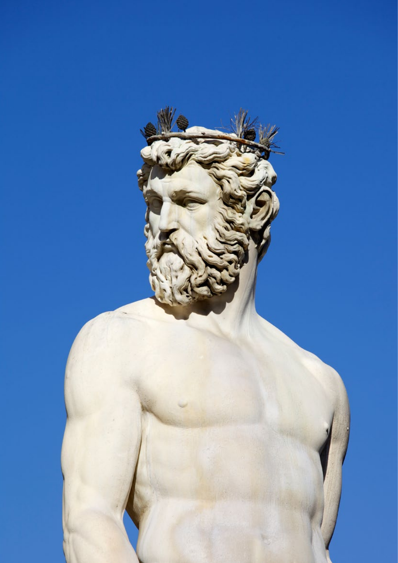